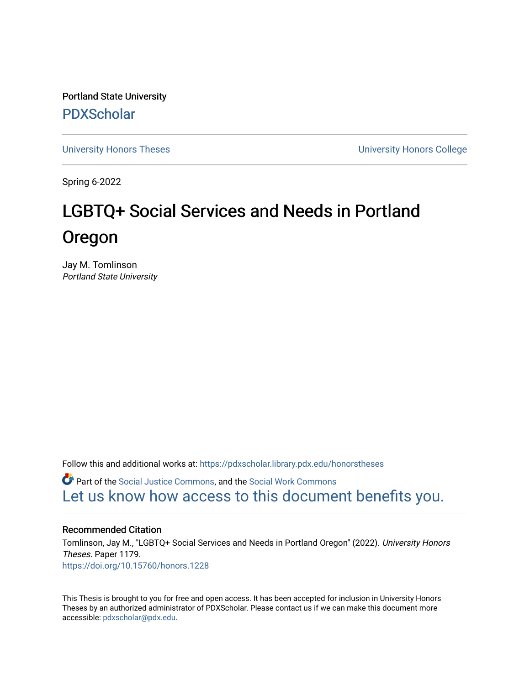Portland State University [PDXScholar](https://pdxscholar.library.pdx.edu/)

[University Honors Theses](https://pdxscholar.library.pdx.edu/honorstheses) [University Honors College](https://pdxscholar.library.pdx.edu/honors) 

Spring 6-2022

# LGBTQ+ Social Services and Needs in Portland Oregon

Jay M. Tomlinson Portland State University

Follow this and additional works at: [https://pdxscholar.library.pdx.edu/honorstheses](https://pdxscholar.library.pdx.edu/honorstheses?utm_source=pdxscholar.library.pdx.edu%2Fhonorstheses%2F1179&utm_medium=PDF&utm_campaign=PDFCoverPages) 

**C** Part of the [Social Justice Commons,](https://network.bepress.com/hgg/discipline/1432?utm_source=pdxscholar.library.pdx.edu%2Fhonorstheses%2F1179&utm_medium=PDF&utm_campaign=PDFCoverPages) and the Social Work Commons [Let us know how access to this document benefits you.](http://library.pdx.edu/services/pdxscholar-services/pdxscholar-feedback/) 

#### Recommended Citation

Tomlinson, Jay M., "LGBTQ+ Social Services and Needs in Portland Oregon" (2022). University Honors Theses. Paper 1179. <https://doi.org/10.15760/honors.1228>

This Thesis is brought to you for free and open access. It has been accepted for inclusion in University Honors Theses by an authorized administrator of PDXScholar. Please contact us if we can make this document more accessible: [pdxscholar@pdx.edu.](mailto:pdxscholar@pdx.edu)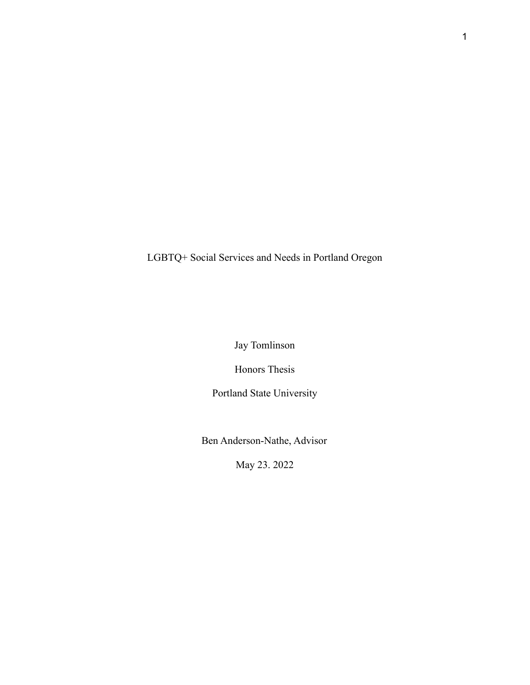LGBTQ+ Social Services and Needs in Portland Oregon

Jay Tomlinson

Honors Thesis

Portland State University

Ben Anderson-Nathe, Advisor

May 23. 2022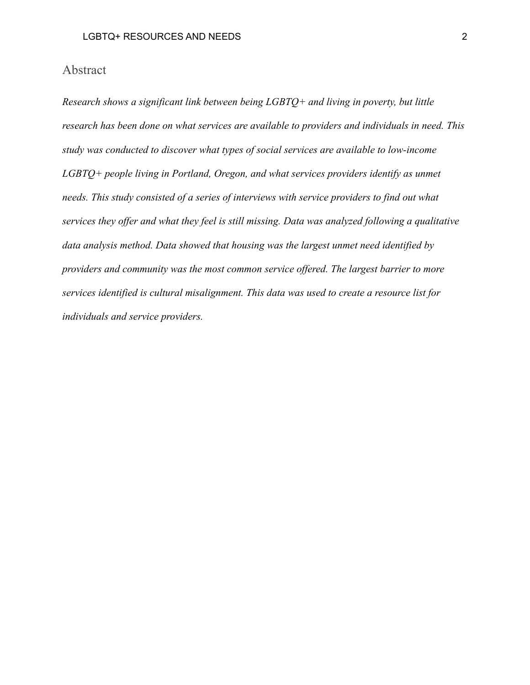## Abstract

*Research shows a significant link between being LGBTQ+ and living in poverty, but little research has been done on what services are available to providers and individuals in need. This study was conducted to discover what types of social services are available to low-income LGBTQ+ people living in Portland, Oregon, and what services providers identify as unmet needs. This study consisted of a series of interviews with service providers to find out what services they offer and what they feel is still missing. Data was analyzed following a qualitative data analysis method. Data showed that housing was the largest unmet need identified by providers and community was the most common service offered. The largest barrier to more services identified is cultural misalignment. This data was used to create a resource list for individuals and service providers.*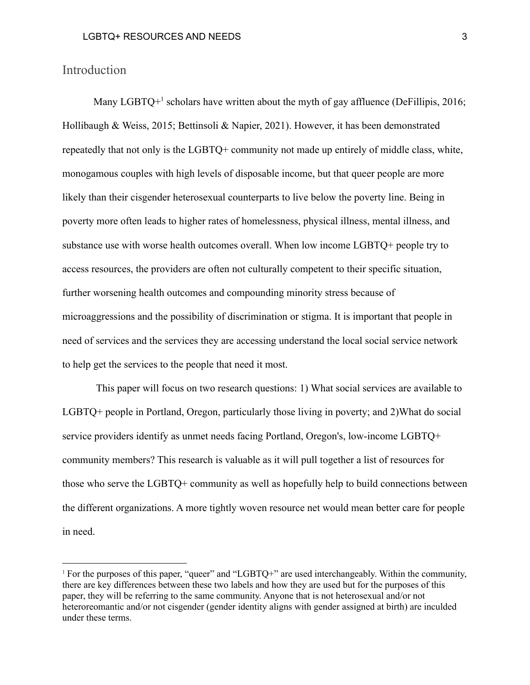#### Introduction

Many LGBTQ+ $1$  scholars have written about the myth of gay affluence (DeFillipis, 2016; Hollibaugh & Weiss, 2015; Bettinsoli & Napier, 2021). However, it has been demonstrated repeatedly that not only is the LGBTQ+ community not made up entirely of middle class, white, monogamous couples with high levels of disposable income, but that queer people are more likely than their cisgender heterosexual counterparts to live below the poverty line. Being in poverty more often leads to higher rates of homelessness, physical illness, mental illness, and substance use with worse health outcomes overall. When low income LGBTQ+ people try to access resources, the providers are often not culturally competent to their specific situation, further worsening health outcomes and compounding minority stress because of microaggressions and the possibility of discrimination or stigma. It is important that people in need of services and the services they are accessing understand the local social service network to help get the services to the people that need it most.

This paper will focus on two research questions: 1) What social services are available to LGBTQ+ people in Portland, Oregon, particularly those living in poverty; and 2)What do social service providers identify as unmet needs facing Portland, Oregon's, low-income LGBTQ+ community members? This research is valuable as it will pull together a list of resources for those who serve the LGBTQ+ community as well as hopefully help to build connections between the different organizations. A more tightly woven resource net would mean better care for people in need.

<sup>&</sup>lt;sup>1</sup> For the purposes of this paper, "queer" and "LGBTQ+" are used interchangeably. Within the community, there are key differences between these two labels and how they are used but for the purposes of this paper, they will be referring to the same community. Anyone that is not heterosexual and/or not heteroreomantic and/or not cisgender (gender identity aligns with gender assigned at birth) are inculded under these terms.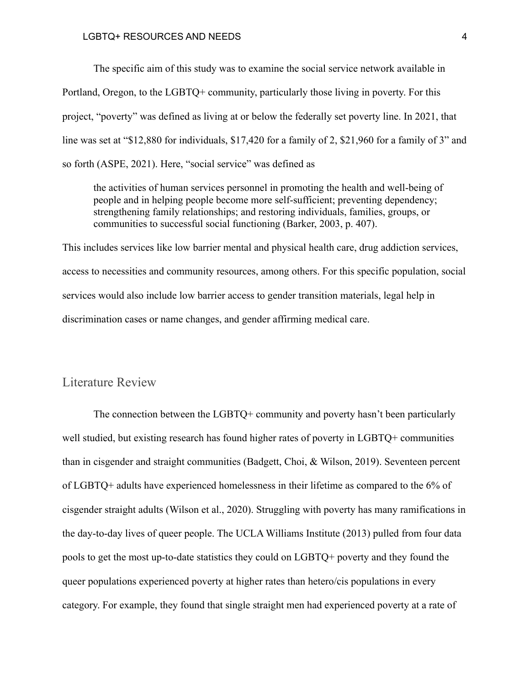#### LGBTQ+ RESOURCES AND NEEDS 4

The specific aim of this study was to examine the social service network available in Portland, Oregon, to the LGBTQ+ community, particularly those living in poverty. For this project, "poverty" was defined as living at or below the federally set poverty line. In 2021, that line was set at "\$12,880 for individuals, \$17,420 for a family of 2, \$21,960 for a family of 3" and so forth (ASPE, 2021). Here, "social service" was defined as

the activities of human services personnel in promoting the health and well-being of people and in helping people become more self-sufficient; preventing dependency; strengthening family relationships; and restoring individuals, families, groups, or communities to successful social functioning (Barker, 2003, p. 407).

This includes services like low barrier mental and physical health care, drug addiction services, access to necessities and community resources, among others. For this specific population, social services would also include low barrier access to gender transition materials, legal help in discrimination cases or name changes, and gender affirming medical care.

### Literature Review

The connection between the LGBTQ+ community and poverty hasn't been particularly well studied, but existing research has found higher rates of poverty in LGBTQ+ communities than in cisgender and straight communities (Badgett, Choi, & Wilson, 2019). Seventeen percent of LGBTQ+ adults have experienced homelessness in their lifetime as compared to the 6% of cisgender straight adults (Wilson et al., 2020). Struggling with poverty has many ramifications in the day-to-day lives of queer people. The UCLA Williams Institute (2013) pulled from four data pools to get the most up-to-date statistics they could on LGBTQ+ poverty and they found the queer populations experienced poverty at higher rates than hetero/cis populations in every category. For example, they found that single straight men had experienced poverty at a rate of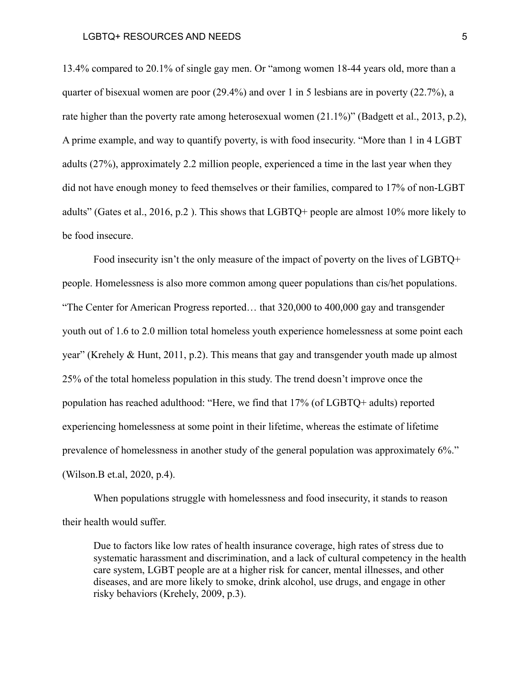13.4% compared to 20.1% of single gay men. Or "among women 18-44 years old, more than a quarter of bisexual women are poor (29.4%) and over 1 in 5 lesbians are in poverty (22.7%), a rate higher than the poverty rate among heterosexual women (21.1%)" (Badgett et al., 2013, p.2), A prime example, and way to quantify poverty, is with food insecurity. "More than 1 in 4 LGBT adults (27%), approximately 2.2 million people, experienced a time in the last year when they did not have enough money to feed themselves or their families, compared to 17% of non-LGBT adults" (Gates et al., 2016, p.2 ). This shows that LGBTQ+ people are almost 10% more likely to be food insecure.

Food insecurity isn't the only measure of the impact of poverty on the lives of LGBTQ+ people. Homelessness is also more common among queer populations than cis/het populations. "The Center for American Progress reported… that 320,000 to 400,000 gay and transgender youth out of 1.6 to 2.0 million total homeless youth experience homelessness at some point each year" (Krehely  $\&$  Hunt, 2011, p.2). This means that gay and transgender youth made up almost 25% of the total homeless population in this study. The trend doesn't improve once the population has reached adulthood: "Here, we find that 17% (of LGBTQ+ adults) reported experiencing homelessness at some point in their lifetime, whereas the estimate of lifetime prevalence of homelessness in another study of the general population was approximately 6%." (Wilson.B et.al, 2020, p.4).

When populations struggle with homelessness and food insecurity, it stands to reason their health would suffer.

Due to factors like low rates of health insurance coverage, high rates of stress due to systematic harassment and discrimination, and a lack of cultural competency in the health care system, LGBT people are at a higher risk for cancer, mental illnesses, and other diseases, and are more likely to smoke, drink alcohol, use drugs, and engage in other risky behaviors (Krehely, 2009, p.3).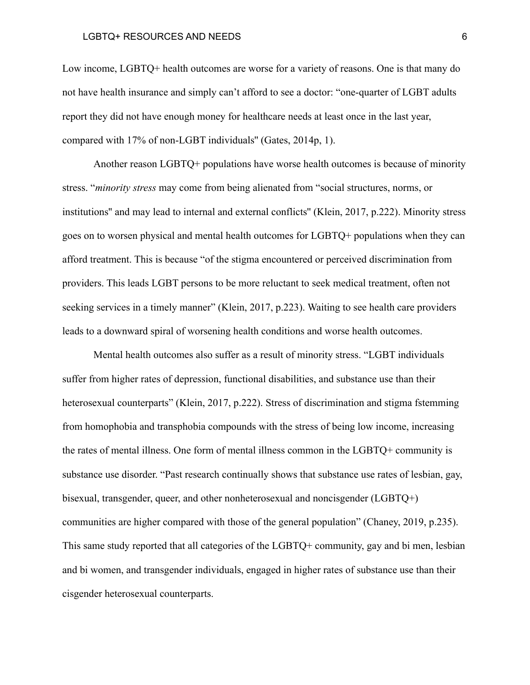#### LGBTQ+ RESOURCES AND NEEDS 6

Low income, LGBTQ+ health outcomes are worse for a variety of reasons. One is that many do not have health insurance and simply can't afford to see a doctor: "one-quarter of LGBT adults report they did not have enough money for healthcare needs at least once in the last year, compared with 17% of non-LGBT individuals'' (Gates, 2014p, 1).

Another reason LGBTQ+ populations have worse health outcomes is because of minority stress. "*minority stress* may come from being alienated from "social structures, norms, or institutions'' and may lead to internal and external conflicts'' (Klein, 2017, p.222). Minority stress goes on to worsen physical and mental health outcomes for LGBTQ+ populations when they can afford treatment. This is because "of the stigma encountered or perceived discrimination from providers. This leads LGBT persons to be more reluctant to seek medical treatment, often not seeking services in a timely manner" (Klein, 2017, p.223). Waiting to see health care providers leads to a downward spiral of worsening health conditions and worse health outcomes.

Mental health outcomes also suffer as a result of minority stress. "LGBT individuals suffer from higher rates of depression, functional disabilities, and substance use than their heterosexual counterparts" (Klein, 2017, p.222). Stress of discrimination and stigma fstemming from homophobia and transphobia compounds with the stress of being low income, increasing the rates of mental illness. One form of mental illness common in the LGBTQ+ community is substance use disorder. "Past research continually shows that substance use rates of lesbian, gay, bisexual, transgender, queer, and other nonheterosexual and noncisgender (LGBTQ+) communities are higher compared with those of the general population" (Chaney, 2019, p.235). This same study reported that all categories of the LGBTQ+ community, gay and bi men, lesbian and bi women, and transgender individuals, engaged in higher rates of substance use than their cisgender heterosexual counterparts.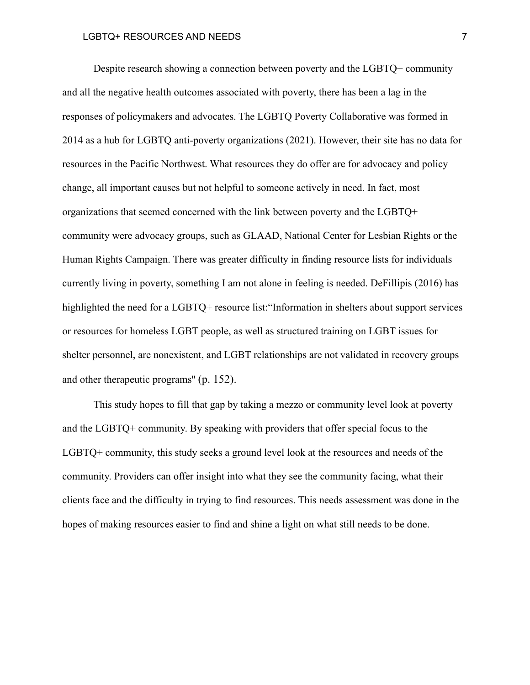#### LGBTQ+ RESOURCES AND NEEDS 7

Despite research showing a connection between poverty and the LGBTQ+ community and all the negative health outcomes associated with poverty, there has been a lag in the responses of policymakers and advocates. The LGBTQ Poverty Collaborative was formed in 2014 as a hub for LGBTQ anti-poverty organizations (2021). However, their site has no data for resources in the Pacific Northwest. What resources they do offer are for advocacy and policy change, all important causes but not helpful to someone actively in need. In fact, most organizations that seemed concerned with the link between poverty and the LGBTQ+ community were advocacy groups, such as GLAAD, National Center for Lesbian Rights or the Human Rights Campaign. There was greater difficulty in finding resource lists for individuals currently living in poverty, something I am not alone in feeling is needed. DeFillipis (2016) has highlighted the need for a LGBTQ+ resource list: "Information in shelters about support services or resources for homeless LGBT people, as well as structured training on LGBT issues for shelter personnel, are nonexistent, and LGBT relationships are not validated in recovery groups and other therapeutic programs'' (p. 152).

This study hopes to fill that gap by taking a mezzo or community level look at poverty and the LGBTQ+ community. By speaking with providers that offer special focus to the LGBTQ+ community, this study seeks a ground level look at the resources and needs of the community. Providers can offer insight into what they see the community facing, what their clients face and the difficulty in trying to find resources. This needs assessment was done in the hopes of making resources easier to find and shine a light on what still needs to be done.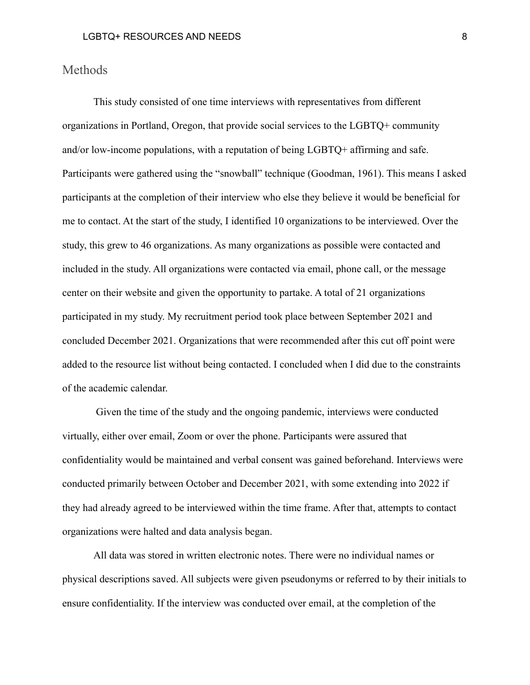#### Methods

This study consisted of one time interviews with representatives from different organizations in Portland, Oregon, that provide social services to the LGBTQ+ community and/or low-income populations, with a reputation of being LGBTQ+ affirming and safe. Participants were gathered using the "snowball" technique (Goodman, 1961). This means I asked participants at the completion of their interview who else they believe it would be beneficial for me to contact. At the start of the study, I identified 10 organizations to be interviewed. Over the study, this grew to 46 organizations. As many organizations as possible were contacted and included in the study. All organizations were contacted via email, phone call, or the message center on their website and given the opportunity to partake. A total of 21 organizations participated in my study. My recruitment period took place between September 2021 and concluded December 2021. Organizations that were recommended after this cut off point were added to the resource list without being contacted. I concluded when I did due to the constraints of the academic calendar.

Given the time of the study and the ongoing pandemic, interviews were conducted virtually, either over email, Zoom or over the phone. Participants were assured that confidentiality would be maintained and verbal consent was gained beforehand. Interviews were conducted primarily between October and December 2021, with some extending into 2022 if they had already agreed to be interviewed within the time frame. After that, attempts to contact organizations were halted and data analysis began.

All data was stored in written electronic notes. There were no individual names or physical descriptions saved. All subjects were given pseudonyms or referred to by their initials to ensure confidentiality. If the interview was conducted over email, at the completion of the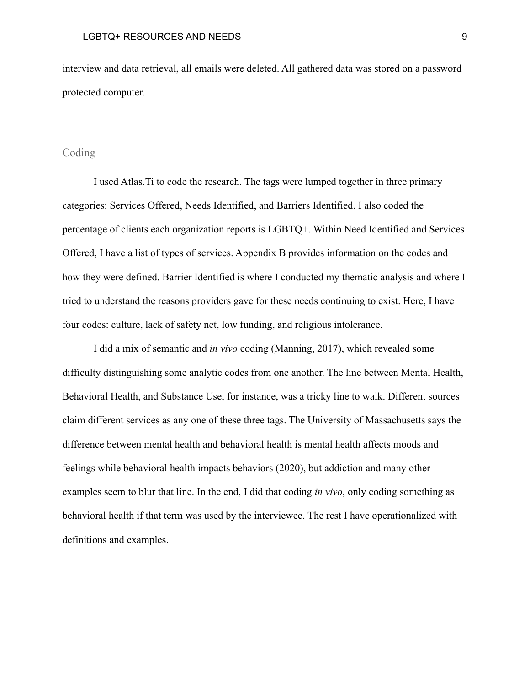interview and data retrieval, all emails were deleted. All gathered data was stored on a password protected computer.

#### Coding

I used Atlas.Ti to code the research. The tags were lumped together in three primary categories: Services Offered, Needs Identified, and Barriers Identified. I also coded the percentage of clients each organization reports is LGBTQ+. Within Need Identified and Services Offered, I have a list of types of services. Appendix B provides information on the codes and how they were defined. Barrier Identified is where I conducted my thematic analysis and where I tried to understand the reasons providers gave for these needs continuing to exist. Here, I have four codes: culture, lack of safety net, low funding, and religious intolerance.

I did a mix of semantic and *in vivo* coding (Manning, 2017), which revealed some difficulty distinguishing some analytic codes from one another. The line between Mental Health, Behavioral Health, and Substance Use, for instance, was a tricky line to walk. Different sources claim different services as any one of these three tags. The University of Massachusetts says the difference between mental health and behavioral health is mental health affects moods and feelings while behavioral health impacts behaviors (2020), but addiction and many other examples seem to blur that line. In the end, I did that coding *in vivo*, only coding something as behavioral health if that term was used by the interviewee. The rest I have operationalized with definitions and examples.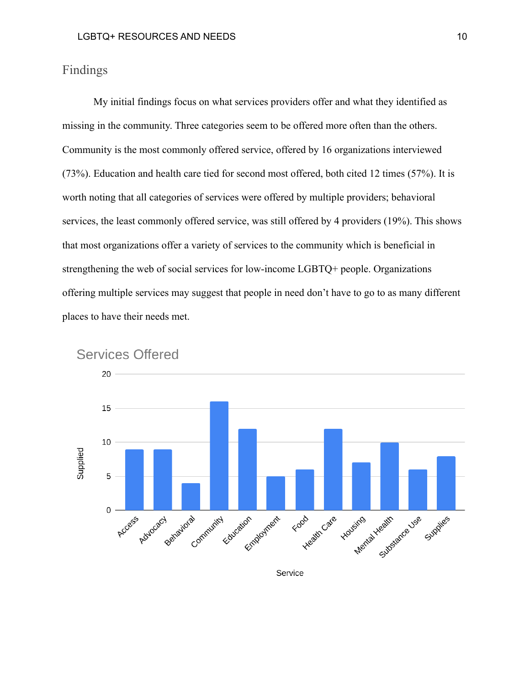## Findings

My initial findings focus on what services providers offer and what they identified as missing in the community. Three categories seem to be offered more often than the others. Community is the most commonly offered service, offered by 16 organizations interviewed (73%). Education and health care tied for second most offered, both cited 12 times (57%). It is worth noting that all categories of services were offered by multiple providers; behavioral services, the least commonly offered service, was still offered by 4 providers (19%). This shows that most organizations offer a variety of services to the community which is beneficial in strengthening the web of social services for low-income LGBTQ+ people. Organizations offering multiple services may suggest that people in need don't have to go to as many different places to have their needs met.



**Services Offered**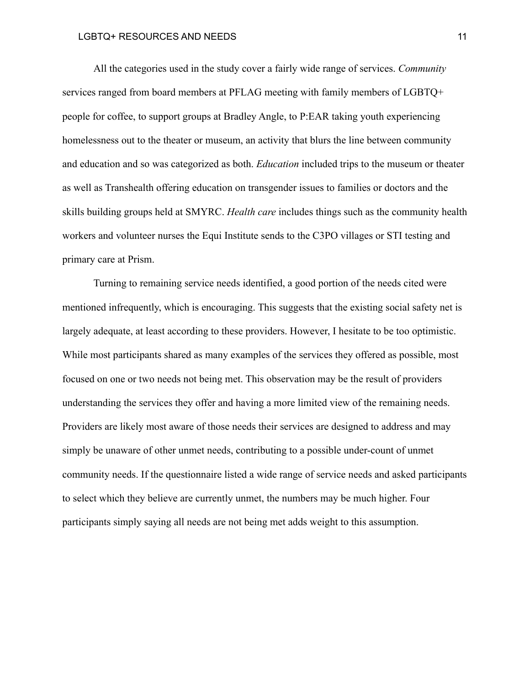All the categories used in the study cover a fairly wide range of services. *Community* services ranged from board members at PFLAG meeting with family members of LGBTQ+ people for coffee, to support groups at Bradley Angle, to P:EAR taking youth experiencing homelessness out to the theater or museum, an activity that blurs the line between community and education and so was categorized as both. *Education* included trips to the museum or theater as well as Transhealth offering education on transgender issues to families or doctors and the skills building groups held at SMYRC. *Health care* includes things such as the community health workers and volunteer nurses the Equi Institute sends to the C3PO villages or STI testing and primary care at Prism.

Turning to remaining service needs identified, a good portion of the needs cited were mentioned infrequently, which is encouraging. This suggests that the existing social safety net is largely adequate, at least according to these providers. However, I hesitate to be too optimistic. While most participants shared as many examples of the services they offered as possible, most focused on one or two needs not being met. This observation may be the result of providers understanding the services they offer and having a more limited view of the remaining needs. Providers are likely most aware of those needs their services are designed to address and may simply be unaware of other unmet needs, contributing to a possible under-count of unmet community needs. If the questionnaire listed a wide range of service needs and asked participants to select which they believe are currently unmet, the numbers may be much higher. Four participants simply saying all needs are not being met adds weight to this assumption.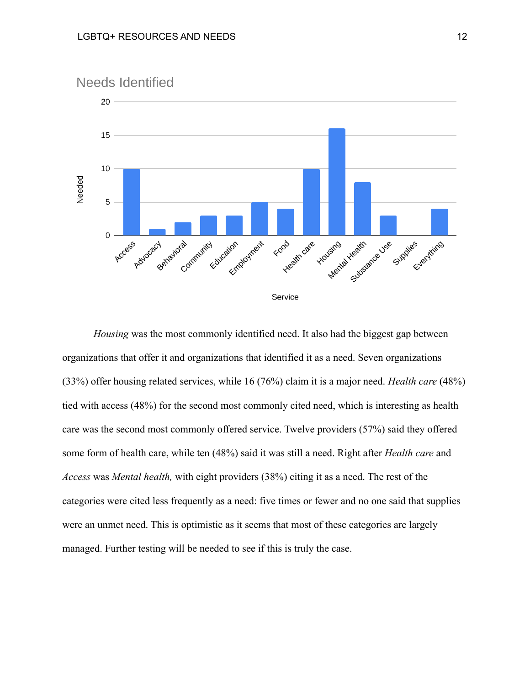

*Housing* was the most commonly identified need. It also had the biggest gap between organizations that offer it and organizations that identified it as a need. Seven organizations (33%) offer housing related services, while 16 (76%) claim it is a major need. *Health care* (48%) tied with access (48%) for the second most commonly cited need, which is interesting as health care was the second most commonly offered service. Twelve providers (57%) said they offered some form of health care, while ten (48%) said it was still a need. Right after *Health care* and *Access* was *Mental health,* with eight providers (38%) citing it as a need. The rest of the categories were cited less frequently as a need: five times or fewer and no one said that supplies were an unmet need. This is optimistic as it seems that most of these categories are largely managed. Further testing will be needed to see if this is truly the case.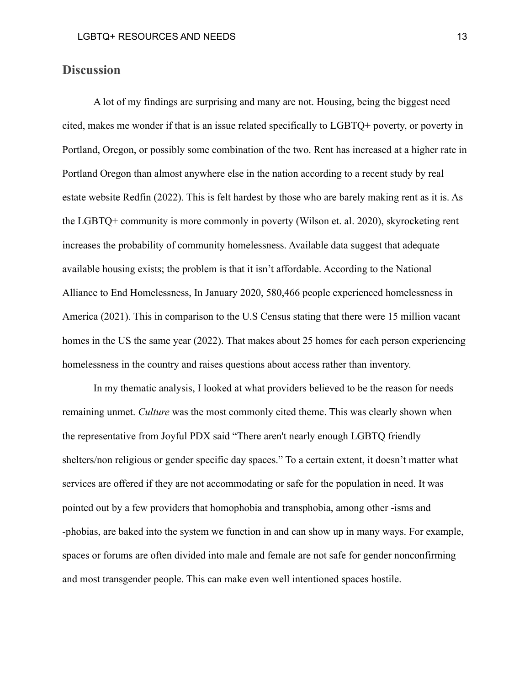## **Discussion**

A lot of my findings are surprising and many are not. Housing, being the biggest need cited, makes me wonder if that is an issue related specifically to LGBTQ+ poverty, or poverty in Portland, Oregon, or possibly some combination of the two. Rent has increased at a higher rate in Portland Oregon than almost anywhere else in the nation according to a recent study by real estate website Redfin (2022). This is felt hardest by those who are barely making rent as it is. As the LGBTQ+ community is more commonly in poverty (Wilson et. al. 2020), skyrocketing rent increases the probability of community homelessness. Available data suggest that adequate available housing exists; the problem is that it isn't affordable. According to the National Alliance to End Homelessness, In January 2020, 580,466 people experienced homelessness in America (2021). This in comparison to the U.S Census stating that there were 15 million vacant homes in the US the same year (2022). That makes about 25 homes for each person experiencing homelessness in the country and raises questions about access rather than inventory.

In my thematic analysis, I looked at what providers believed to be the reason for needs remaining unmet. *Culture* was the most commonly cited theme. This was clearly shown when the representative from Joyful PDX said "There aren't nearly enough LGBTQ friendly shelters/non religious or gender specific day spaces." To a certain extent, it doesn't matter what services are offered if they are not accommodating or safe for the population in need. It was pointed out by a few providers that homophobia and transphobia, among other -isms and -phobias, are baked into the system we function in and can show up in many ways. For example, spaces or forums are often divided into male and female are not safe for gender nonconfirming and most transgender people. This can make even well intentioned spaces hostile.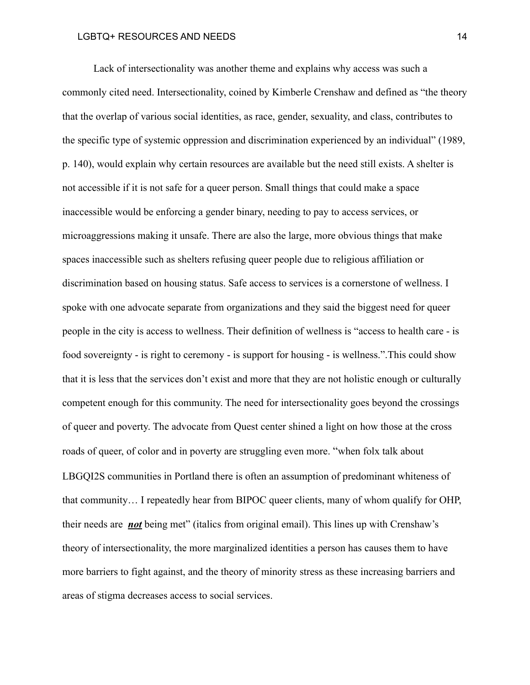Lack of intersectionality was another theme and explains why access was such a commonly cited need. Intersectionality, coined by Kimberle Crenshaw and defined as "the theory that the overlap of various social identities, as race, gender, sexuality, and class, contributes to the specific type of systemic oppression and discrimination experienced by an individual" (1989, p. 140), would explain why certain resources are available but the need still exists. A shelter is not accessible if it is not safe for a queer person. Small things that could make a space inaccessible would be enforcing a gender binary, needing to pay to access services, or microaggressions making it unsafe. There are also the large, more obvious things that make spaces inaccessible such as shelters refusing queer people due to religious affiliation or discrimination based on housing status. Safe access to services is a cornerstone of wellness. I spoke with one advocate separate from organizations and they said the biggest need for queer people in the city is access to wellness. Their definition of wellness is "access to health care - is food sovereignty - is right to ceremony - is support for housing - is wellness.".This could show that it is less that the services don't exist and more that they are not holistic enough or culturally competent enough for this community. The need for intersectionality goes beyond the crossings of queer and poverty. The advocate from Quest center shined a light on how those at the cross roads of queer, of color and in poverty are struggling even more. "when folx talk about LBGQI2S communities in Portland there is often an assumption of predominant whiteness of that community… I repeatedly hear from BIPOC queer clients, many of whom qualify for OHP, their needs are *not* being met" (italics from original email). This lines up with Crenshaw's theory of intersectionality, the more marginalized identities a person has causes them to have more barriers to fight against, and the theory of minority stress as these increasing barriers and areas of stigma decreases access to social services.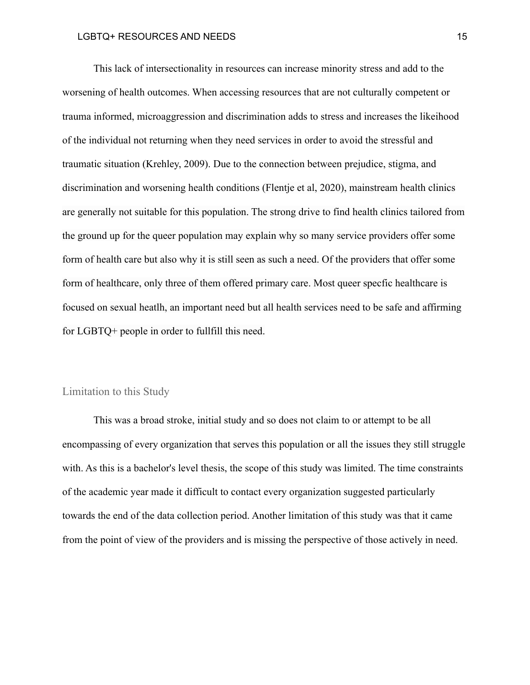This lack of intersectionality in resources can increase minority stress and add to the worsening of health outcomes. When accessing resources that are not culturally competent or trauma informed, microaggression and discrimination adds to stress and increases the likeihood of the individual not returning when they need services in order to avoid the stressful and traumatic situation (Krehley, 2009). Due to the connection between prejudice, stigma, and discrimination and worsening health conditions (Flentje et al, 2020), mainstream health clinics are generally not suitable for this population. The strong drive to find health clinics tailored from the ground up for the queer population may explain why so many service providers offer some form of health care but also why it is still seen as such a need. Of the providers that offer some form of healthcare, only three of them offered primary care. Most queer specfic healthcare is focused on sexual heatlh, an important need but all health services need to be safe and affirming for LGBTQ+ people in order to fullfill this need.

#### Limitation to this Study

This was a broad stroke, initial study and so does not claim to or attempt to be all encompassing of every organization that serves this population or all the issues they still struggle with. As this is a bachelor's level thesis, the scope of this study was limited. The time constraints of the academic year made it difficult to contact every organization suggested particularly towards the end of the data collection period. Another limitation of this study was that it came from the point of view of the providers and is missing the perspective of those actively in need.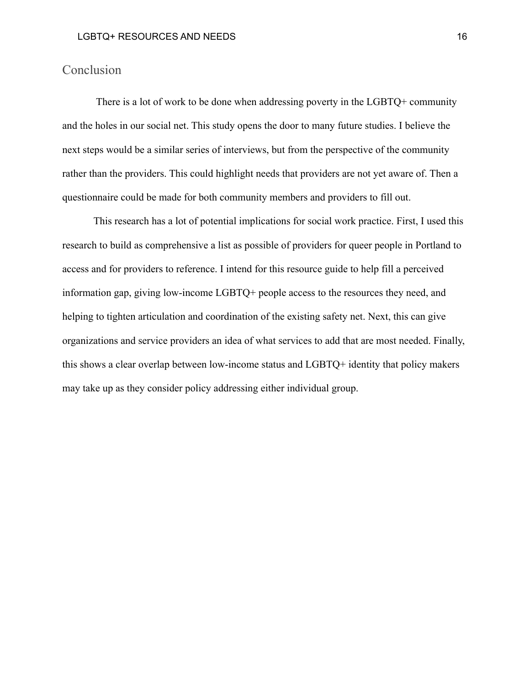## Conclusion

There is a lot of work to be done when addressing poverty in the LGBTQ+ community and the holes in our social net. This study opens the door to many future studies. I believe the next steps would be a similar series of interviews, but from the perspective of the community rather than the providers. This could highlight needs that providers are not yet aware of. Then a questionnaire could be made for both community members and providers to fill out.

This research has a lot of potential implications for social work practice. First, I used this research to build as comprehensive a list as possible of providers for queer people in Portland to access and for providers to reference. I intend for this resource guide to help fill a perceived information gap, giving low-income LGBTQ+ people access to the resources they need, and helping to tighten articulation and coordination of the existing safety net. Next, this can give organizations and service providers an idea of what services to add that are most needed. Finally, this shows a clear overlap between low-income status and LGBTQ+ identity that policy makers may take up as they consider policy addressing either individual group.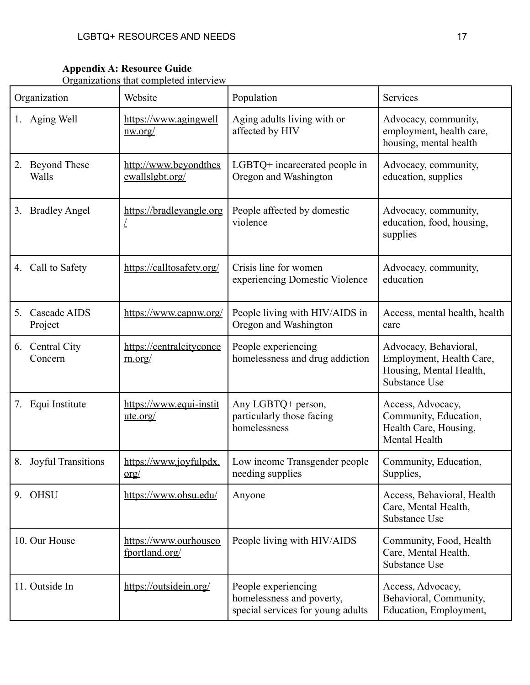#### **Appendix A: Resource Guide**

Organizations that completed interview

| Organization                       | Website                                    | Population                                                                            | Services                                                                                      |
|------------------------------------|--------------------------------------------|---------------------------------------------------------------------------------------|-----------------------------------------------------------------------------------------------|
| 1. Aging Well                      | https://www.agingwell<br><u>nw.org/</u>    | Aging adults living with or<br>affected by HIV                                        | Advocacy, community,<br>employment, health care,<br>housing, mental health                    |
| <b>Beyond These</b><br>2.<br>Walls | http://www.beyondthes<br>ewallslgbt.org/   | LGBTQ+ incarcerated people in<br>Oregon and Washington                                | Advocacy, community,<br>education, supplies                                                   |
| <b>Bradley Angel</b><br>3.         | https://bradleyangle.org                   | People affected by domestic<br>violence                                               | Advocacy, community,<br>education, food, housing,<br>supplies                                 |
| 4. Call to Safety                  | https://calltosafety.org/                  | Crisis line for women<br>experiencing Domestic Violence                               | Advocacy, community,<br>education                                                             |
| 5.<br>Cascade AIDS<br>Project      | https://www.capnw.org/                     | People living with HIV/AIDS in<br>Oregon and Washington                               | Access, mental health, health<br>care                                                         |
| 6. Central City<br>Concern         | https://centralcityconce<br>m.org/         | People experiencing<br>homelessness and drug addiction                                | Advocacy, Behavioral,<br>Employment, Health Care,<br>Housing, Mental Health,<br>Substance Use |
| 7.<br>Equi Institute               | https://www.equi-instit<br><u>ute.org/</u> | Any LGBTQ+ person,<br>particularly those facing<br>homelessness                       | Access, Advocacy,<br>Community, Education,<br>Health Care, Housing,<br>Mental Health          |
| 8. Joyful Transitions              | https://www.joyfulpdx.<br><u>org/</u>      | Low income Transgender people<br>needing supplies                                     | Community, Education,<br>Supplies,                                                            |
| 9. OHSU                            | https://www.ohsu.edu/                      | Anyone                                                                                | Access, Behavioral, Health<br>Care, Mental Health,<br>Substance Use                           |
| 10. Our House                      | https://www.ourhouseo<br>fportland.org/    | People living with HIV/AIDS                                                           | Community, Food, Health<br>Care, Mental Health,<br>Substance Use                              |
| 11. Outside In                     | https://outsidein.org/                     | People experiencing<br>homelessness and poverty,<br>special services for young adults | Access, Advocacy,<br>Behavioral, Community,<br>Education, Employment,                         |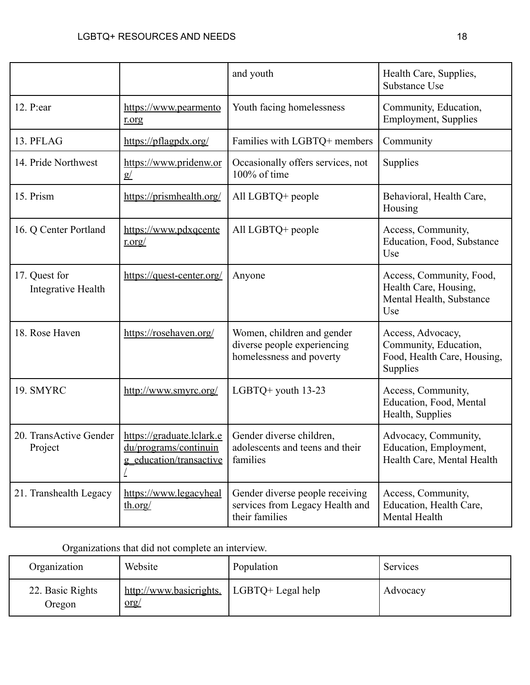|                                     |                                                                               | and youth                                                                             | Health Care, Supplies,<br>Substance Use                                               |
|-------------------------------------|-------------------------------------------------------------------------------|---------------------------------------------------------------------------------------|---------------------------------------------------------------------------------------|
| 12. P:ear                           | https://www.pearmento<br>rorg                                                 | Youth facing homelessness                                                             | Community, Education,<br><b>Employment, Supplies</b>                                  |
| 13. PFLAG                           | https://pflagpdx.org/                                                         | Families with LGBTQ+ members                                                          | Community                                                                             |
| 14. Pride Northwest                 | https://www.pridenw.or<br>g/                                                  | Occasionally offers services, not<br>100% of time                                     | Supplies                                                                              |
| 15. Prism                           | https://prismhealth.org/                                                      | All LGBTQ+ people                                                                     | Behavioral, Health Care,<br>Housing                                                   |
| 16. Q Center Portland               | https://www.pdxqcente<br>r.org/                                               | All LGBTQ+ people                                                                     | Access, Community,<br>Education, Food, Substance<br>Use                               |
| 17. Quest for<br>Integrative Health | https://quest-center.org/                                                     | Anyone                                                                                | Access, Community, Food,<br>Health Care, Housing,<br>Mental Health, Substance<br>Use  |
| 18. Rose Haven                      | https://rosehaven.org/                                                        | Women, children and gender<br>diverse people experiencing<br>homelessness and poverty | Access, Advocacy,<br>Community, Education,<br>Food, Health Care, Housing,<br>Supplies |
| 19. SMYRC                           | http://www.smyrc.org/                                                         | LGBTQ+ youth 13-23                                                                    | Access, Community,<br>Education, Food, Mental<br>Health, Supplies                     |
| 20. TransActive Gender<br>Project   | https://graduate.lclark.e<br>du/programs/continuin<br>g education/transactive | Gender diverse children,<br>adolescents and teens and their<br>families               | Advocacy, Community,<br>Education, Employment,<br>Health Care, Mental Health          |
| 21. Transhealth Legacy              | https://www.legacyheal<br>th.org/                                             | Gender diverse people receiving<br>services from Legacy Health and<br>their families  | Access, Community,<br>Education, Health Care,<br>Mental Health                        |

## Organizations that did not complete an interview.

| Organization               | Website                           | Population          | Services |
|----------------------------|-----------------------------------|---------------------|----------|
| 22. Basic Rights<br>Oregon | http://www.basicrights.<br>$org/$ | $LGBTQ+ Legal help$ | Advocacy |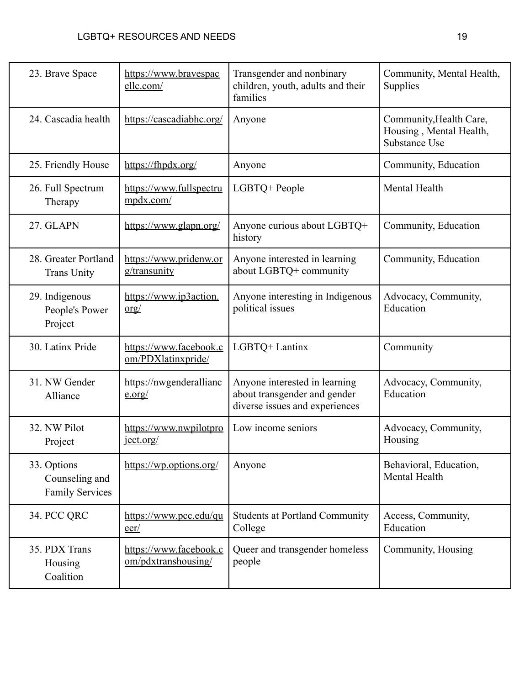| 23. Brave Space                                         | https://www.bravespac<br>ellc.com/            | Transgender and nonbinary<br>children, youth, adults and their<br>families                      | Community, Mental Health,<br>Supplies                               |
|---------------------------------------------------------|-----------------------------------------------|-------------------------------------------------------------------------------------------------|---------------------------------------------------------------------|
| 24. Cascadia health                                     | https://cascadiabhc.org/                      | Anyone                                                                                          | Community, Health Care,<br>Housing, Mental Health,<br>Substance Use |
| 25. Friendly House                                      | https://fhpdx.org/                            | Anyone                                                                                          | Community, Education                                                |
| 26. Full Spectrum<br>Therapy                            | https://www.fullspectru<br>mpdx.com/          | LGBTQ+ People                                                                                   | Mental Health                                                       |
| 27. GLAPN                                               | https://www.glapn.org/                        | Anyone curious about LGBTQ+<br>history                                                          | Community, Education                                                |
| 28. Greater Portland<br><b>Trans Unity</b>              | https://www.pridenw.or<br>g/transunity        | Anyone interested in learning<br>about LGBTQ+ community                                         | Community, Education                                                |
| 29. Indigenous<br>People's Power<br>Project             | https://www.ip3action.<br>$or$ g/             | Anyone interesting in Indigenous<br>political issues                                            | Advocacy, Community,<br>Education                                   |
| 30. Latinx Pride                                        | https://www.facebook.c<br>om/PDXlatinxpride/  | LGBTQ+ Lantinx                                                                                  | Community                                                           |
| 31. NW Gender<br>Alliance                               | https://nwgenderallianc<br>e.org/             | Anyone interested in learning<br>about transgender and gender<br>diverse issues and experiences | Advocacy, Community,<br>Education                                   |
| 32. NW Pilot<br>Project                                 | https://www.nwpilotpro<br>ject.org/           | Low income seniors                                                                              | Advocacy, Community,<br>Housing                                     |
| 33. Options<br>Counseling and<br><b>Family Services</b> | https://wp.options.org/                       | Anyone                                                                                          | Behavioral, Education,<br>Mental Health                             |
| 34. PCC QRC                                             | https://www.pcc.edu/qu<br>$\frac{e^{2}}{2}$   | <b>Students at Portland Community</b><br>College                                                | Access, Community,<br>Education                                     |
| 35. PDX Trans<br>Housing<br>Coalition                   | https://www.facebook.c<br>om/pdxtranshousing/ | Queer and transgender homeless<br>people                                                        | Community, Housing                                                  |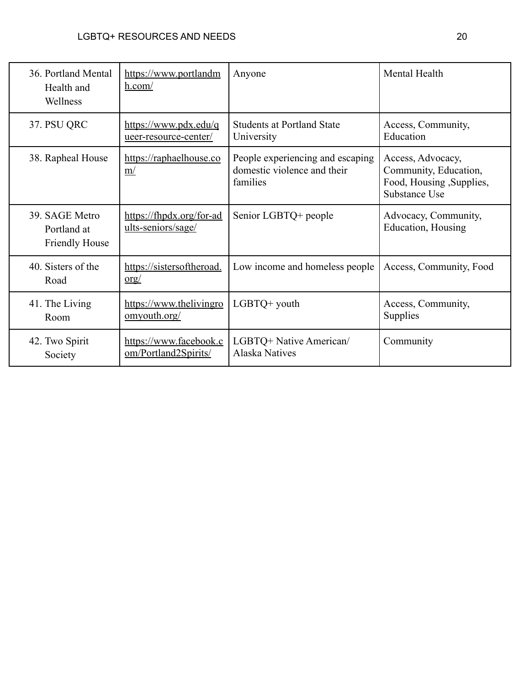| 36. Portland Mental<br>Health and<br>Wellness          | https://www.portlandm<br>h.com/                | Anyone                                                                      | Mental Health                                                                           |
|--------------------------------------------------------|------------------------------------------------|-----------------------------------------------------------------------------|-----------------------------------------------------------------------------------------|
| 37. PSU QRC                                            | https://www.pdx.edu/q<br>ueer-resource-center/ | <b>Students at Portland State</b><br>University                             | Access, Community,<br>Education                                                         |
| 38. Rapheal House                                      | https://raphaelhouse.co<br>$\underline{m}$     | People experiencing and escaping<br>domestic violence and their<br>families | Access, Advocacy,<br>Community, Education,<br>Food, Housing, Supplies,<br>Substance Use |
| 39. SAGE Metro<br>Portland at<br><b>Friendly House</b> | https://fhpdx.org/for-ad<br>ults-seniors/sage/ | Senior LGBTQ+ people                                                        | Advocacy, Community,<br>Education, Housing                                              |
| 40. Sisters of the<br>Road                             | https://sistersoftheroad.<br>$org/$            | Low income and homeless people                                              | Access, Community, Food                                                                 |
| 41. The Living<br>Room                                 | https://www.thelivingro<br>omyouth.org/        | $LGBTQ+$ youth                                                              | Access, Community,<br>Supplies                                                          |
| 42. Two Spirit<br>Society                              | https://www.facebook.c<br>om/Portland2Spirits/ | LGBTQ+ Native American/<br><b>Alaska Natives</b>                            | Community                                                                               |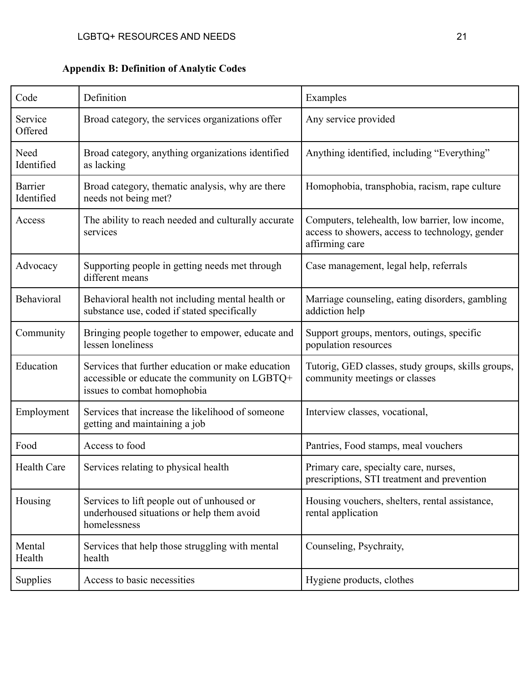| Code                  | Definition                                                                                                                        | Examples                                                                                                             |
|-----------------------|-----------------------------------------------------------------------------------------------------------------------------------|----------------------------------------------------------------------------------------------------------------------|
| Service<br>Offered    | Broad category, the services organizations offer                                                                                  | Any service provided                                                                                                 |
| Need<br>Identified    | Broad category, anything organizations identified<br>as lacking                                                                   | Anything identified, including "Everything"                                                                          |
| Barrier<br>Identified | Broad category, thematic analysis, why are there<br>needs not being met?                                                          | Homophobia, transphobia, racism, rape culture                                                                        |
| Access                | The ability to reach needed and culturally accurate<br>services                                                                   | Computers, telehealth, low barrier, low income,<br>access to showers, access to technology, gender<br>affirming care |
| Advocacy              | Supporting people in getting needs met through<br>different means                                                                 | Case management, legal help, referrals                                                                               |
| Behavioral            | Behavioral health not including mental health or<br>substance use, coded if stated specifically                                   | Marriage counseling, eating disorders, gambling<br>addiction help                                                    |
| Community             | Bringing people together to empower, educate and<br>lessen loneliness                                                             | Support groups, mentors, outings, specific<br>population resources                                                   |
| Education             | Services that further education or make education<br>accessible or educate the community on LGBTQ+<br>issues to combat homophobia | Tutorig, GED classes, study groups, skills groups,<br>community meetings or classes                                  |
| Employment            | Services that increase the likelihood of someone<br>getting and maintaining a job                                                 | Interview classes, vocational,                                                                                       |
| Food                  | Access to food                                                                                                                    | Pantries, Food stamps, meal vouchers                                                                                 |
| <b>Health Care</b>    | Services relating to physical health                                                                                              | Primary care, specialty care, nurses,<br>prescriptions, STI treatment and prevention                                 |
| Housing               | Services to lift people out of unhoused or<br>underhoused situations or help them avoid<br>homelessness                           | Housing vouchers, shelters, rental assistance,<br>rental application                                                 |
| Mental<br>Health      | Services that help those struggling with mental<br>health                                                                         | Counseling, Psychraity,                                                                                              |
| <b>Supplies</b>       | Access to basic necessities                                                                                                       | Hygiene products, clothes                                                                                            |

**Appendix B: Definition of Analytic Codes**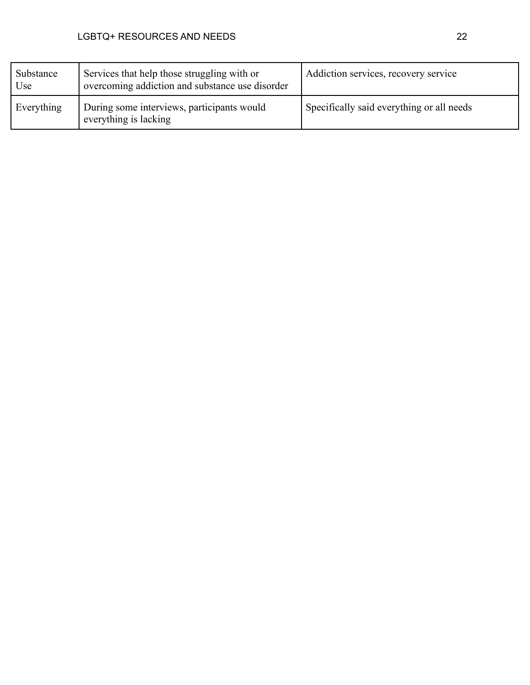| Substance<br>Use | Services that help those struggling with or<br>overcoming addiction and substance use disorder | Addiction services, recovery service      |
|------------------|------------------------------------------------------------------------------------------------|-------------------------------------------|
| Everything       | During some interviews, participants would<br>everything is lacking                            | Specifically said everything or all needs |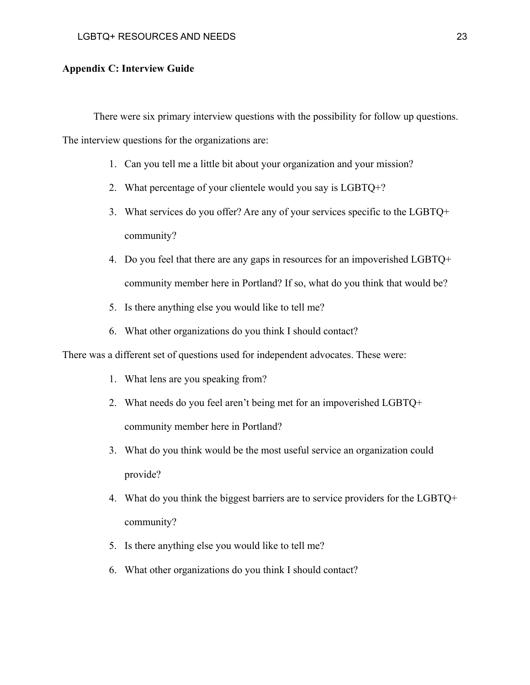#### **Appendix C: Interview Guide**

There were six primary interview questions with the possibility for follow up questions.

The interview questions for the organizations are:

- 1. Can you tell me a little bit about your organization and your mission?
- 2. What percentage of your clientele would you say is LGBTQ+?
- 3. What services do you offer? Are any of your services specific to the LGBTQ+ community?
- 4. Do you feel that there are any gaps in resources for an impoverished LGBTQ+ community member here in Portland? If so, what do you think that would be?
- 5. Is there anything else you would like to tell me?
- 6. What other organizations do you think I should contact?

There was a different set of questions used for independent advocates. These were:

- 1. What lens are you speaking from?
- 2. What needs do you feel aren't being met for an impoverished LGBTQ+ community member here in Portland?
- 3. What do you think would be the most useful service an organization could provide?
- 4. What do you think the biggest barriers are to service providers for the LGBTQ+ community?
- 5. Is there anything else you would like to tell me?
- 6. What other organizations do you think I should contact?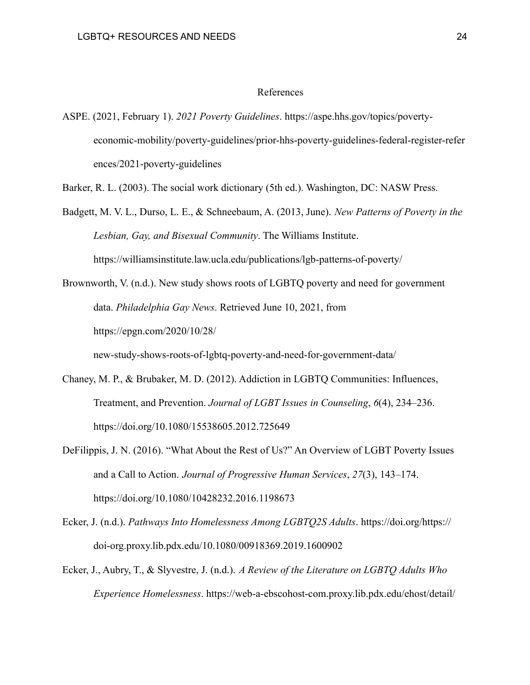#### References

ASPE. (2021, February 1). *2021 Poverty Guidelines*. https://aspe.hhs.gov/topics/povertyeconomic-mobility/poverty-guidelines/prior-hhs-poverty-guidelines-federal-register-refer ences/2021-poverty-guidelines

Barker, R. L. (2003). The social work dictionary (5th ed.). Washington, DC: NASW Press.

- Badgett, M. V. L., Durso, L. E., & Schneebaum, A. (2013, June). *New Patterns of Poverty in the Lesbian, Gay, and Bisexual Community*. The Williams Institute. https://williamsinstitute.law.ucla.edu/publications/lgb-patterns-of-poverty/
- Brownworth, V. (n.d.). New study shows roots of LGBTQ poverty and need for government data. *Philadelphia Gay News*. Retrieved June 10, 2021, from https://epgn.com/2020/10/28/

new-study-shows-roots-of-lgbtq-poverty-and-need-for-government-data/

- Chaney, M. P., & Brubaker, M. D. (2012). Addiction in LGBTQ Communities: Influences, Treatment, and Prevention. *Journal of LGBT Issues in Counseling*, *6*(4), 234–236. https://doi.org/10.1080/15538605.2012.725649
- DeFilippis, J. N. (2016). "What About the Rest of Us?" An Overview of LGBT Poverty Issues and a Call to Action. *Journal of Progressive Human Services*, *27*(3), 143–174. https://doi.org/10.1080/10428232.2016.1198673
- Ecker, J. (n.d.). *Pathways Into Homelessness Among LGBTQ2S Adults*. https://doi.org/https:// doi-org.proxy.lib.pdx.edu/10.1080/00918369.2019.1600902
- Ecker, J., Aubry, T., & Slyvestre, J. (n.d.). *A Review of the Literature on LGBTQ Adults Who Experience Homelessness*. https://web-a-ebscohost-com.proxy.lib.pdx.edu/ehost/detail/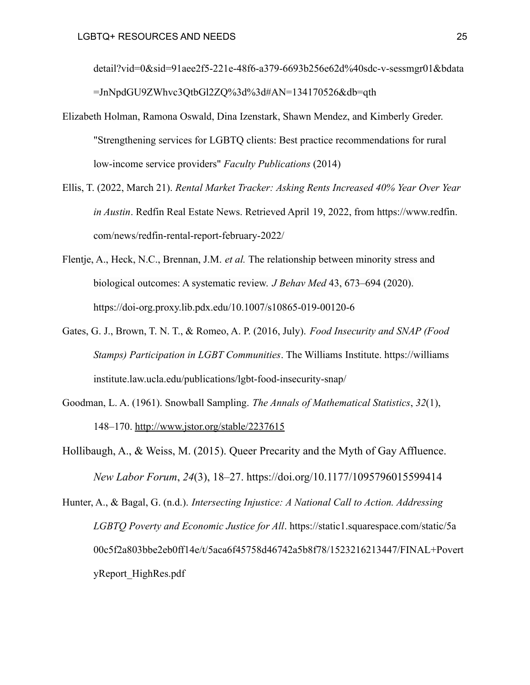detail?vid=0&sid=91aee2f5-221e-48f6-a379-6693b256e62d%40sdc-v-sessmgr01&bdata =JnNpdGU9ZWhvc3QtbGl2ZQ%3d%3d#AN=134170526&db=qth

- Elizabeth Holman, Ramona Oswald, Dina Izenstark, Shawn Mendez, and Kimberly Greder. "Strengthening services for LGBTQ clients: Best practice recommendations for rural low-income service providers" *Faculty Publications* (2014)
- Ellis, T. (2022, March 21). *Rental Market Tracker: Asking Rents Increased 40% Year Over Year in Austin*. Redfin Real Estate News. Retrieved April 19, 2022, from https://www.redfin. com/news/redfin-rental-report-february-2022/
- Flentje, A., Heck, N.C., Brennan, J.M. *et al.* The relationship between minority stress and biological outcomes: A systematic review. *J Behav Med* 43, 673–694 (2020). https://doi-org.proxy.lib.pdx.edu/10.1007/s10865-019-00120-6
- Gates, G. J., Brown, T. N. T., & Romeo, A. P. (2016, July). *Food Insecurity and SNAP (Food Stamps) Participation in LGBT Communities*. The Williams Institute. https://williams institute.law.ucla.edu/publications/lgbt-food-insecurity-snap/
- Goodman, L. A. (1961). Snowball Sampling. *The Annals of Mathematical Statistics*, *32*(1), 148–170. <http://www.jstor.org/stable/2237615>
- Hollibaugh, A., & Weiss, M. (2015). Queer Precarity and the Myth of Gay Affluence. *New Labor Forum*, *24*(3), 18–27. https://doi.org/10.1177/1095796015599414

Hunter, A., & Bagal, G. (n.d.). *Intersecting Injustice: A National Call to Action. Addressing LGBTQ Poverty and Economic Justice for All*. https://static1.squarespace.com/static/5a 00c5f2a803bbe2eb0ff14e/t/5aca6f45758d46742a5b8f78/1523216213447/FINAL+Povert yReport\_HighRes.pdf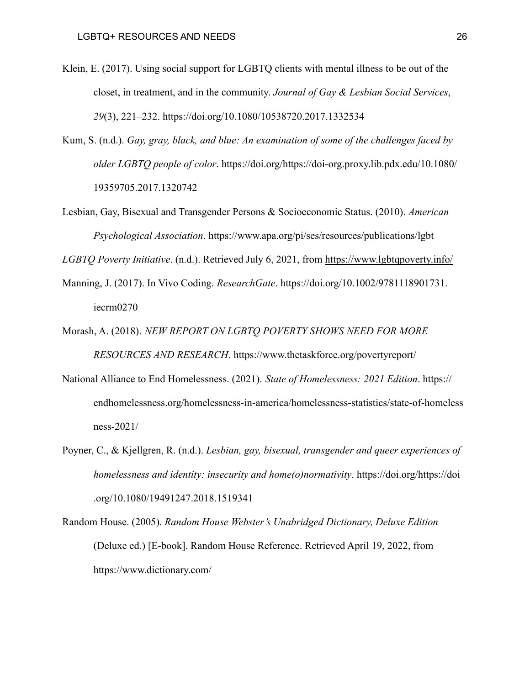- Klein, E. (2017). Using social support for LGBTQ clients with mental illness to be out of the closet, in treatment, and in the community. *Journal of Gay & Lesbian Social Services*, *29*(3), 221–232. https://doi.org/10.1080/10538720.2017.1332534
- Kum, S. (n.d.). *Gay, gray, black, and blue: An examination of some of the challenges faced by older LGBTQ people of color*. https://doi.org/https://doi-org.proxy.lib.pdx.edu/10.1080/ 19359705.2017.1320742
- Lesbian, Gay, Bisexual and Transgender Persons & Socioeconomic Status. (2010). *American Psychological Association*. https://www.apa.org/pi/ses/resources/publications/lgbt

*LGBTQ Poverty Initiative*. (n.d.). Retrieved July 6, 2021, from <https://www.lgbtqpoverty.info/>

- Manning, J. (2017). In Vivo Coding. *ResearchGate*. https://doi.org/10.1002/9781118901731. iecrm0270
- Morash, A. (2018). *NEW REPORT ON LGBTQ POVERTY SHOWS NEED FOR MORE RESOURCES AND RESEARCH*. https://www.thetaskforce.org/povertyreport/
- National Alliance to End Homelessness. (2021). *State of Homelessness: 2021 Edition*. https:// endhomelessness.org/homelessness-in-america/homelessness-statistics/state-of-homeless ness-2021/
- Poyner, C., & Kjellgren, R. (n.d.). *Lesbian, gay, bisexual, transgender and queer experiences of homelessness and identity: insecurity and home(o)normativity*. https://doi.org/https://doi .org/10.1080/19491247.2018.1519341
- Random House. (2005). *Random House Webster's Unabridged Dictionary, Deluxe Edition* (Deluxe ed.) [E-book]. Random House Reference. Retrieved April 19, 2022, from https://www.dictionary.com/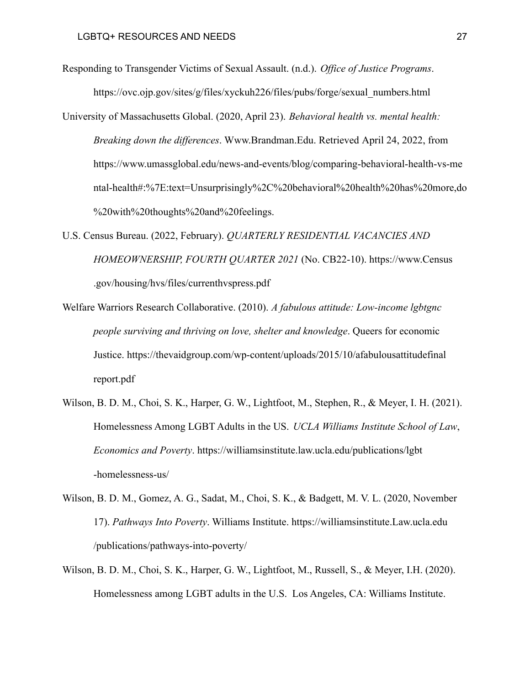Responding to Transgender Victims of Sexual Assault. (n.d.). *Office of Justice Programs*. https://ovc.ojp.gov/sites/g/files/xyckuh226/files/pubs/forge/sexual\_numbers.html

- University of Massachusetts Global. (2020, April 23). *Behavioral health vs. mental health: Breaking down the differences*. Www.Brandman.Edu. Retrieved April 24, 2022, from https://www.umassglobal.edu/news-and-events/blog/comparing-behavioral-health-vs-me ntal-health#:%7E:text=Unsurprisingly%2C%20behavioral%20health%20has%20more,do %20with%20thoughts%20and%20feelings.
- U.S. Census Bureau. (2022, February). *QUARTERLY RESIDENTIAL VACANCIES AND HOMEOWNERSHIP, FOURTH QUARTER 2021* (No. CB22-10). https://www.Census .gov/housing/hvs/files/currenthvspress.pdf
- Welfare Warriors Research Collaborative. (2010). *A fabulous attitude: Low-income lgbtgnc people surviving and thriving on love, shelter and knowledge*. Queers for economic Justice. https://thevaidgroup.com/wp-content/uploads/2015/10/afabulousattitudefinal report.pdf
- Wilson, B. D. M., Choi, S. K., Harper, G. W., Lightfoot, M., Stephen, R., & Meyer, I. H. (2021). Homelessness Among LGBT Adults in the US. *UCLA Williams Institute School of Law*, *Economics and Poverty*. https://williamsinstitute.law.ucla.edu/publications/lgbt -homelessness-us/
- Wilson, B. D. M., Gomez, A. G., Sadat, M., Choi, S. K., & Badgett, M. V. L. (2020, November 17). *Pathways Into Poverty*. Williams Institute. https://williamsinstitute.Law.ucla.edu /publications/pathways-into-poverty/
- Wilson, B. D. M., Choi, S. K., Harper, G. W., Lightfoot, M., Russell, S., & Meyer, I.H. (2020). Homelessness among LGBT adults in the U.S. Los Angeles, CA: Williams Institute.